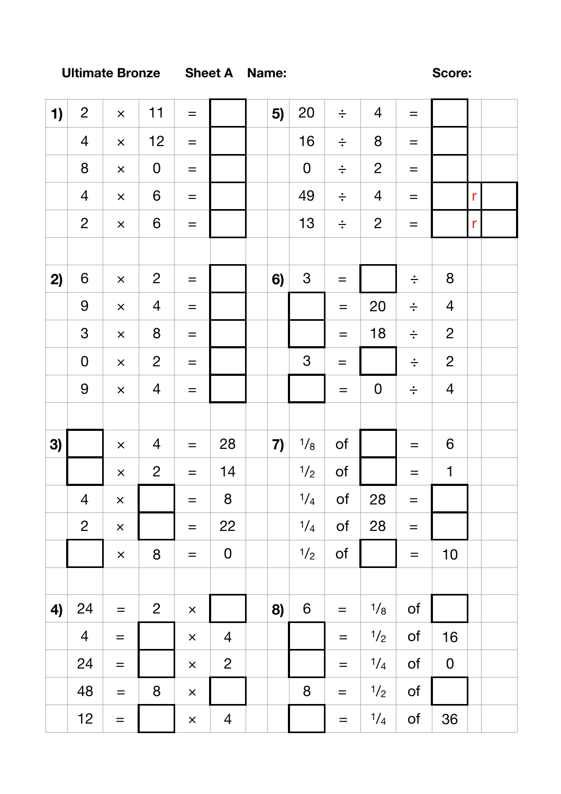## **Ultimate Bronze** Sheet A Name: Score: Score:

| 1) | $\overline{2}$   | $\times$          | 11               | $\equiv$          |                | 5) | 20               | $\div$            | $\overline{4}$ | $\equiv$          |                  |              |  |
|----|------------------|-------------------|------------------|-------------------|----------------|----|------------------|-------------------|----------------|-------------------|------------------|--------------|--|
|    | $\overline{4}$   | $\times$          | 12               | $\qquad \qquad =$ |                |    | 16               | $\div$            | 8              | $\!\!\!=\!\!\!\!$ |                  |              |  |
|    | 8                | $\times$          | ${\bf 0}$        | $\!\!\!=\!\!\!\!$ |                |    | $\mathbf 0$      | $\div$            | $\overline{2}$ | $=$               |                  |              |  |
|    | $\overline{4}$   | $\times$          | $\boldsymbol{6}$ | $\!\!\!=\!\!\!\!$ |                |    | 49               | $\div$            | $\overline{4}$ | $\qquad \qquad =$ |                  | $\mathsf{r}$ |  |
|    | $\overline{2}$   | $\times$          | $\boldsymbol{6}$ | $\qquad \qquad =$ |                |    | 13               | $\div$            | $\overline{2}$ | $=$               |                  | $\mathsf{r}$ |  |
|    |                  |                   |                  |                   |                |    |                  |                   |                |                   |                  |              |  |
| 2) | $\boldsymbol{6}$ | $\times$          | $\overline{2}$   | $\equiv$          |                | 6) | $\mathfrak{S}$   | $=$               |                | $\div$            | $\bf 8$          |              |  |
|    | $\overline{9}$   | $\times$          | $\overline{4}$   | $\qquad \qquad =$ |                |    |                  | $=$               | 20             | $\div$            | $\overline{4}$   |              |  |
|    | $\mathfrak{S}$   | $\times$          | 8                | $\!\!\!=\!\!\!\!$ |                |    |                  | $=$               | 18             | $\div$            | $\mathbf{2}$     |              |  |
|    | $\mathbf 0$      | $\times$          | $\overline{2}$   | $\equiv$          |                |    | $\mathfrak{S}$   | $\equiv$          |                | $\div$            | $\overline{2}$   |              |  |
|    | $\boldsymbol{9}$ | $\times$          | $\overline{4}$   | $\equiv$          |                |    |                  | $=$               | $\mathbf 0$    | $\div$            | $\overline{4}$   |              |  |
|    |                  |                   |                  |                   |                |    |                  |                   |                |                   |                  |              |  |
| 3) |                  | $\times$          | $\overline{4}$   | $\equiv$          | 28             | 7) | 1/8              | $\mathsf{of}$     |                | $=$               | $6\,$            |              |  |
|    |                  | $\times$          | $\overline{2}$   | $=$               | 14             |    | 1/2              | of                |                | $=$               | $\mathbf 1$      |              |  |
|    | $\overline{4}$   | $\times$          |                  | $=$               | 8              |    | 1/4              | $\circ$ f         | 28             | $=$               |                  |              |  |
|    | $\overline{2}$   | $\times$          |                  | $=$               | 22             |    | 1/4              | of                | 28             | $\!\!\!=\!\!\!\!$ |                  |              |  |
|    |                  | $\times$          | $8\phantom{1}$   | $=$               | $\mathbf 0$    |    | 1/2              | $\mathsf{of}$     |                | $\qquad \qquad =$ | 10               |              |  |
|    |                  |                   |                  |                   |                |    |                  |                   |                |                   |                  |              |  |
| 4) | 24               | $\equiv$          | $\overline{2}$   | $\times$          |                | 8) | $\boldsymbol{6}$ | $\qquad \qquad =$ | 1/8            | of                |                  |              |  |
|    | $\overline{4}$   | $\equiv$          |                  | $\times$          | $\overline{4}$ |    |                  | $\qquad \qquad =$ | $\frac{1}{2}$  | of                | 16               |              |  |
|    | 24               | $\equiv$          |                  | $\times$          | $\overline{2}$ |    |                  | $=$               | 1/4            | of                | $\boldsymbol{0}$ |              |  |
|    | 48               | $\!\!\!=\!\!\!\!$ | $\bf 8$          | $\times$          |                |    | $\bf 8$          | $=$               | 1/2            | of                |                  |              |  |
|    | 12               | $\qquad \qquad =$ |                  | $\times$          | $\overline{4}$ |    |                  | $\qquad \qquad =$ | 1/4            | of                | 36               |              |  |